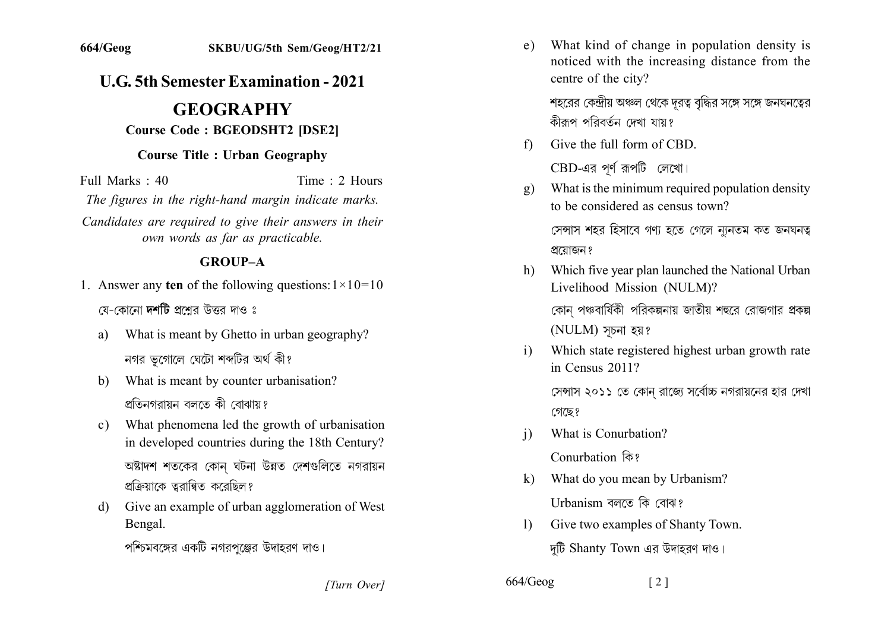## **U.G. 5th Semester Examination - 2021**

# **GEOGRAPHY**

#### **Course Code: BGEODSHT2 [DSE2]**

#### **Course Title: Urban Geography**

Full Marks  $\cdot$  40 Time  $\cdot$  2 Hours

The figures in the right-hand margin indicate marks.

Candidates are required to give their answers in their own words as far as practicable.

#### **GROUP-A**

- 1. Answer any ten of the following questions:  $1 \times 10 = 10$ যে-কোনো **দশটি** প্রশ্রের উত্তর দাও ঃ
	- What is meant by Ghetto in urban geography? a) নগর ভগোলে ঘেটো শব্দটির অর্থ কী?
	- What is meant by counter urbanisation?  $h$ প্রতিনগরায়ন বলতে কী বোঝায়?
	- c) What phenomena led the growth of urbanisation in developed countries during the 18th Century? অষ্টাদশ শতকের কোন ঘটনা উন্নত দেশগুলিতে নগরায়ন প্রক্রিয়াকে তুরান্বিত করেছিল?
	- Give an example of urban agglomeration of West d) Bengal.

পশ্চিমবঙ্গের একটি নগরপঞ্জের উদাহরণ দাও।

What kind of change in population density is  $e)$ noticed with the increasing distance from the centre of the city?

শহরের কেন্দ্রীয় অঞ্চল থেকে দূরত্ব বৃদ্ধির সঙ্গে সঙ্গে জনঘনত্বের কীক্ৰপ পবিবৰ্তন দেখা যায়?

Give the full form of CBD  $f$ 

CBD-এর পূর্ণ রূপটি লেখো।

What is the minimum required population density  $\mathbf{g}$ ) to be considered as census town?

সেন্সাস শহর হিসাবে গণ্য হতে গেলে ন্যূনতম কত জনঘনত্ব প্রয়োজন ?

- Which five year plan launched the National Urban h) Livelihood Mission (NULM)? কোন পঞ্চবার্ষিকী পরিকল্পনায় জাতীয় শহুরে রোজগার প্রকল্প (NULM) সূচনা হয়?
- Which state registered highest urban growth rate  $\mathbf{i}$ in Census 2011?

সেন্সাস ২০১১ তে কোন রাজ্যে সর্বোচ্চ নগরায়নের হার দেখা গেছে?

What is Conurbation?  $\mathbf{i}$ 

Conurbation कि?

- What do you mean by Urbanism?  $\bf k$ Urbanism বলতে কি বোঝ?
- Give two examples of Shanty Town.  $\mathbf{D}$ দুটি Shanty Town এর উদাহরণ দাও।

[Turn Over]

 $664/Geog$  $\lceil 2 \rceil$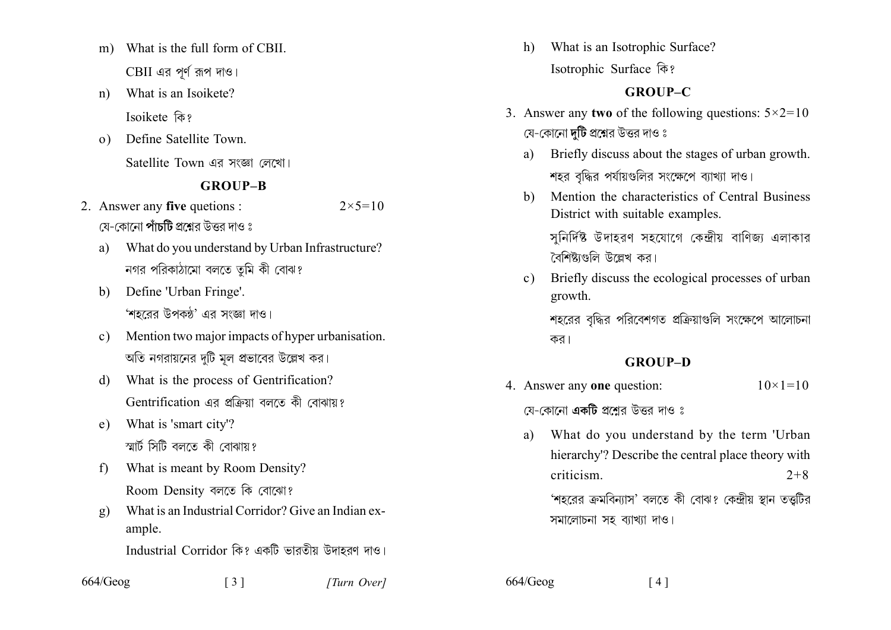- What is the full form of CBIL  $m$ ) CBII এর পূর্ণ রূপ দাও।
- What is an Isoikete?  $n)$ Isoikete कि?
- Define Satellite Town.  $\Omega$ Satellite Town এর সংজ্ঞা লেখো।

#### **GROUP-B**

- 2. Answer any five quetions :  $2 \times 5 = 10$ য়ে-কোনো **পাঁচটি** প্রশ্নের উত্তর দাও ঃ
	- What do you understand by Urban Infrastructure? a) নগর পরিকাঠামো বলতে তুমি কী বোঝ?
	- Define 'Urban Fringe'.  $\mathbf{b}$ 'শহরের উপকন্ঠ' এর সংজ্ঞা দাও।
	- Mention two major impacts of hyper urbanisation.  $c)$ অতি নগরায়নের দটি মল প্রভাবের উল্লেখ কর।
	- What is the process of Gentrification? d) Gentrification এর প্রক্রিয়া বলতে কী বোঝায়?
	- What is 'smart city'?  $e)$ স্মার্ট সিটি বলতে কী বোঝায়?
	- What is meant by Room Density?  $f$ Room Density বলতে কি বোঝো?
	- What is an Industrial Corridor? Give an Indian ex- $\mathbf{g}$ ) ample.

 $\begin{bmatrix} 3 \end{bmatrix}$ 

- Industrial Corridor কি? একটি ভারতীয় উদাহরণ দাও।
- 664/Geog

What is an Isotrophic Surface? h) Isotrophic Surface कि?

### **GROUP-C**

- 3. Answer any two of the following questions:  $5 \times 2 = 10$ যে-কোনো **দটি** প্রশ্নের উত্তর দাও ঃ
	- Briefly discuss about the stages of urban growth.  $a)$ শহর বদ্ধির পর্যায়গুলির সংক্ষেপে ব্যাখ্যা দাও।
	- Mention the characteristics of Central Business  $h)$ District with suitable examples.

সনির্দিষ্ট উদাহরণ সহযোগে কেন্দ্রীয় বাণিজ্য এলাকার বৈশিষ্ট্যগুলি উল্লেখ কর।

Briefly discuss the ecological processes of urban  $c)$ growth.

শহরের বৃদ্ধির পরিবেশগত প্রক্রিয়াণ্ডলি সংক্ষেপে আলোচনা কর।

#### **GROUP-D**

4. Answer any one question:  $10 \times 1 = 10$ 

য়ে-কোনো **একটি** প্রশ্নের উত্তর দাও ঃ

What do you understand by the term 'Urban a) hierarchy'? Describe the central place theory with criticism.  $2 + 8$ 

 $\lceil 4 \rceil$ 

'শহরের ক্রমবিন্যাস' বলতে কী বোঝ? কেন্দ্রীয় স্থান তত্তুটির সমালোচনা সহ ব্যাখ্যা দাও।

664/Geog